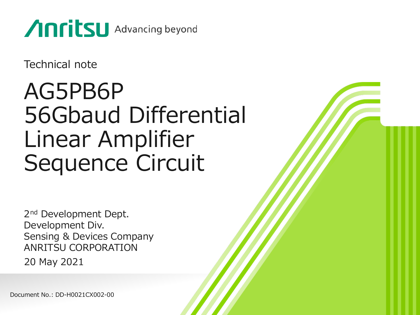

Technical note

## AG5PB6P 56Gbaud Differential Linear Amplifier Sequence Circuit

2<sup>nd</sup> Development Dept. Development Div. Sensing & Devices Company ANRITSU CORPORATION 20 May 2021

Document No.: DD-H0021CX002-00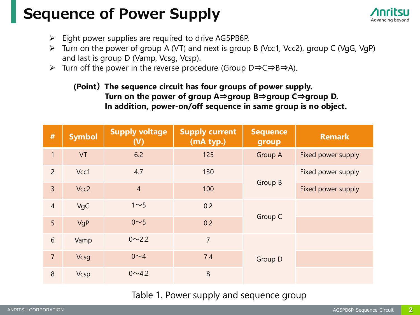## **Sequence of Power Supply**



- $\triangleright$  Eight power supplies are required to drive AG5PB6P.
- ➢ Turn on the power of group A (VT) and next is group B (Vcc1, Vcc2), group C (VgG, VgP) and last is group D (Vamp, Vcsg, Vcsp).
- ➢ Turn off the power in the reverse procedure (Group D⇒C⇒B⇒A).

#### **(Point)The sequence circuit has four groups of power supply. Turn on the power of group A**⇒**group B**⇒**group C**⇒**group D. In addition, power-on/off sequence in same group is no object.**

| #              | <b>Symbol</b> | <b>Supply voltage</b><br>(V) | <b>Supply current</b><br>(mA typ.) | <b>Sequence</b><br>group | <b>Remark</b>      |
|----------------|---------------|------------------------------|------------------------------------|--------------------------|--------------------|
| $\mathbf{1}$   | VT            | 6.2                          | 125                                | <b>Group A</b>           | Fixed power supply |
| $\overline{2}$ | Vcc1          | 4.7                          | 130                                |                          | Fixed power supply |
| $\overline{3}$ | Vcc2          | $\overline{4}$               | 100                                | Group B                  | Fixed power supply |
| $\overline{4}$ | VgG           | 1 <sub>5</sub>               | 0.2                                |                          |                    |
| 5              | VgP           | 0 <sub>5</sub>               | 0.2                                | Group C                  |                    |
| 6              | Vamp          | $0 \sim 2.2$                 | $\overline{7}$                     |                          |                    |
| $\overline{7}$ | <b>Vcsg</b>   | $0 \sim 4$                   | 7.4                                | Group D                  |                    |
| 8              | <b>Vcsp</b>   | $0 \sim 4.2$                 | 8                                  |                          |                    |

### Table 1. Power supply and sequence group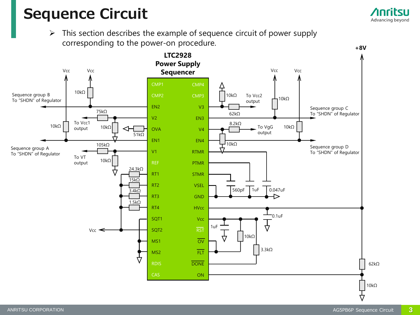## **Sequence Circuit**

 $\triangleright$  This section describes the example of sequence circuit of power supply corresponding to the power-on procedure.



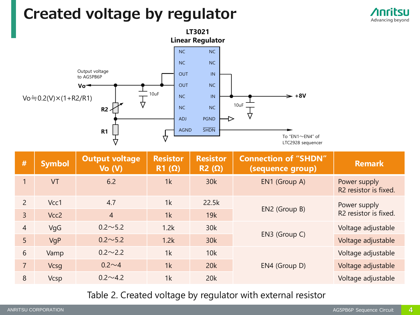## **Created voltage by regulator**





| #              | <b>Symbol</b>    | <b>Output voltage</b><br>$Vo$ $(V)$ | <b>Resistor</b><br>$R1(\Omega)$ | <b>Resistor</b><br>$R2(\Omega)$ | <b>Connection of "SHDN"</b><br>(sequence group) | <b>Remark</b>                                     |
|----------------|------------------|-------------------------------------|---------------------------------|---------------------------------|-------------------------------------------------|---------------------------------------------------|
| 1              | <b>VT</b>        | 6.2                                 | 1k                              | 30k                             | EN1 (Group A)                                   | Power supply<br>R <sub>2</sub> resistor is fixed. |
| $\overline{2}$ | Vcc1             | 4.7                                 | 1k                              | 22.5k                           | EN2 (Group B)                                   | Power supply                                      |
| $\overline{3}$ | Vcc <sub>2</sub> | $\overline{4}$                      | 1k                              | 19k                             |                                                 | R <sub>2</sub> resistor is fixed.                 |
| $\overline{4}$ | VgG              | $0.2 \sim 5.2$                      | 1.2k                            | 30k                             |                                                 | Voltage adjustable                                |
| 5 <sup>5</sup> | VgP              | $0.2 \sim 5.2$                      | 1.2k                            | 30k                             | EN3 (Group C)                                   | Voltage adjustable                                |
| 6              | Vamp             | $0.2 \sim 2.2$                      | 1k                              | 10k                             |                                                 | Voltage adjustable                                |
| $\overline{7}$ | <b>Vcsg</b>      | $0.2 \sim 4$                        | 1k                              | 20k                             | EN4 (Group D)                                   | Voltage adjustable                                |
| 8              | <b>Vcsp</b>      | $0.2 \sim 4.2$                      | 1k                              | 20k                             |                                                 | Voltage adjustable                                |

Table 2. Created voltage by regulator with external resistor